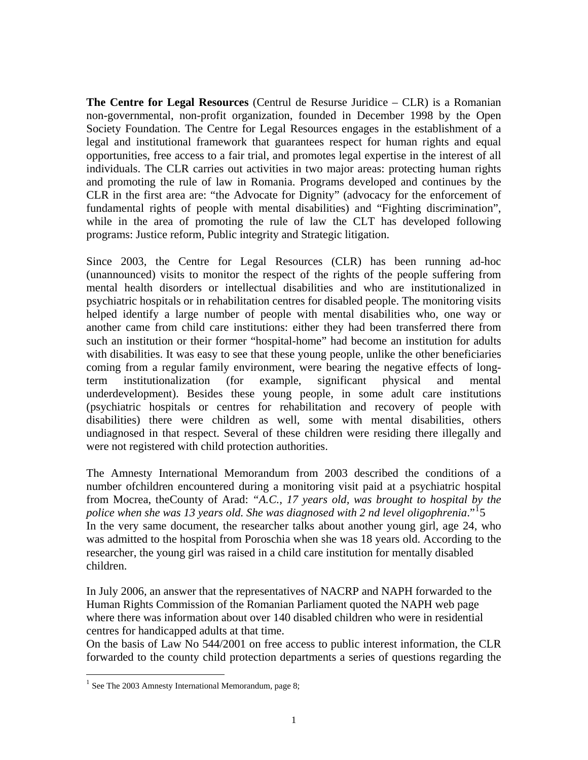**The Centre for Legal Resources** (Centrul de Resurse Juridice – CLR) is a Romanian non-governmental, non-profit organization, founded in December 1998 by the Open Society Foundation. The Centre for Legal Resources engages in the establishment of a legal and institutional framework that guarantees respect for human rights and equal opportunities, free access to a fair trial, and promotes legal expertise in the interest of all individuals. The CLR carries out activities in two major areas: protecting human rights and promoting the rule of law in Romania. Programs developed and continues by the CLR in the first area are: "the Advocate for Dignity" (advocacy for the enforcement of fundamental rights of people with mental disabilities) and "Fighting discrimination", while in the area of promoting the rule of law the CLT has developed following programs: Justice reform, Public integrity and Strategic litigation.

Since 2003, the Centre for Legal Resources (CLR) has been running ad-hoc (unannounced) visits to monitor the respect of the rights of the people suffering from mental health disorders or intellectual disabilities and who are institutionalized in psychiatric hospitals or in rehabilitation centres for disabled people. The monitoring visits helped identify a large number of people with mental disabilities who, one way or another came from child care institutions: either they had been transferred there from such an institution or their former "hospital-home" had become an institution for adults with disabilities. It was easy to see that these young people, unlike the other beneficiaries coming from a regular family environment, were bearing the negative effects of longterm institutionalization (for example, significant physical and mental underdevelopment). Besides these young people, in some adult care institutions (psychiatric hospitals or centres for rehabilitation and recovery of people with disabilities) there were children as well, some with mental disabilities, others undiagnosed in that respect. Several of these children were residing there illegally and were not registered with child protection authorities.

The Amnesty International Memorandum from 2003 described the conditions of a number ofchildren encountered during a monitoring visit paid at a psychiatric hospital from Mocrea, theCounty of Arad: *"A.C., 17 years old, was brought to hospital by the*  police when she was [1](#page-0-0)3 years old. She was diagnosed with 2 nd level oligophrenia."<sup>1</sup>5 In the very same document, the researcher talks about another young girl, age 24, who was admitted to the hospital from Poroschia when she was 18 years old. According to the researcher, the young girl was raised in a child care institution for mentally disabled children.

In July 2006, an answer that the representatives of NACRP and NAPH forwarded to the Human Rights Commission of the Romanian Parliament quoted the NAPH web page where there was information about over 140 disabled children who were in residential centres for handicapped adults at that time.

On the basis of Law No 544/2001 on free access to public interest information, the CLR forwarded to the county child protection departments a series of questions regarding the

 $\overline{a}$ 

<span id="page-0-0"></span> $1$  See The 2003 Amnesty International Memorandum, page 8;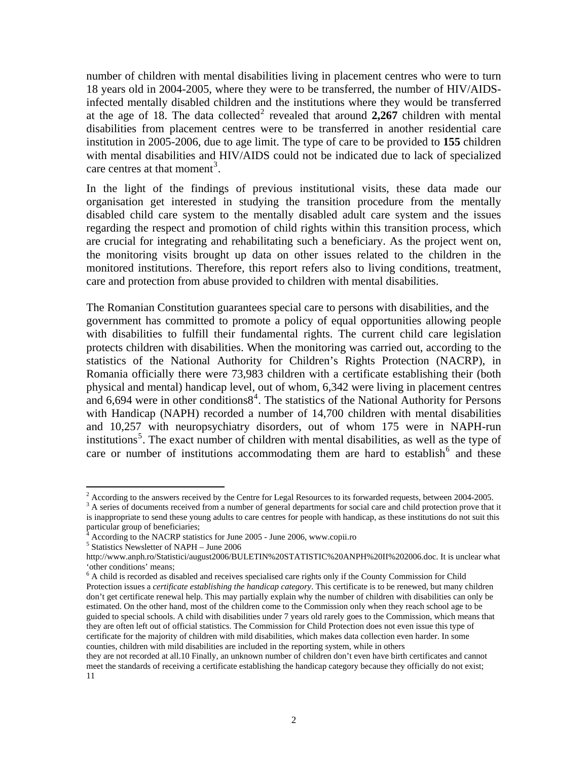number of children with mental disabilities living in placement centres who were to turn 18 years old in 2004-2005, where they were to be transferred, the number of HIV/AIDSinfected mentally disabled children and the institutions where they would be transferred at the age of 18. The data collected<sup>[2](#page-1-0)</sup> revealed that around  $2,267$  children with mental disabilities from placement centres were to be transferred in another residential care institution in 2005-2006, due to age limit. The type of care to be provided to **155** children with mental disabilities and HIV/AIDS could not be indicated due to lack of specialized care centres at that moment<sup>[3](#page-1-1)</sup>.

In the light of the findings of previous institutional visits, these data made our organisation get interested in studying the transition procedure from the mentally disabled child care system to the mentally disabled adult care system and the issues regarding the respect and promotion of child rights within this transition process, which are crucial for integrating and rehabilitating such a beneficiary. As the project went on, the monitoring visits brought up data on other issues related to the children in the monitored institutions. Therefore, this report refers also to living conditions, treatment, care and protection from abuse provided to children with mental disabilities.

The Romanian Constitution guarantees special care to persons with disabilities, and the government has committed to promote a policy of equal opportunities allowing people with disabilities to fulfill their fundamental rights. The current child care legislation protects children with disabilities. When the monitoring was carried out, according to the statistics of the National Authority for Children's Rights Protection (NACRP), in Romania officially there were 73,983 children with a certificate establishing their (both physical and mental) handicap level, out of whom, 6,342 were living in placement centres and  $6,694$  $6,694$  were in other conditions $8<sup>4</sup>$ . The statistics of the National Authority for Persons with Handicap (NAPH) recorded a number of 14,700 children with mental disabilities and 10,257 with neuropsychiatry disorders, out of whom 175 were in NAPH-run institutions<sup>[5](#page-1-3)</sup>. The exact number of children with mental disabilities, as well as the type of care or number of institutions accommodating them are hard to establish $6$  and these

 $\overline{a}$ 

<span id="page-1-0"></span><sup>&</sup>lt;sup>2</sup> According to the answers received by the Centre for Legal Resources to its forwarded requests, between 2004-2005.

<span id="page-1-1"></span><sup>&</sup>lt;sup>3</sup> A series of documents received from a number of general departments for social care and child protection prove that it is inappropriate to send these young adults to care centres for people with handicap, as these institutions do not suit this particular group of beneficiaries;

<sup>4</sup> According to the NACRP statistics for June 2005 - June 2006, www.copii.ro 5

<span id="page-1-3"></span><span id="page-1-2"></span> $5$  Statistics Newsletter of NAPH – June 2006

http://www.anph.ro/Statistici/august2006/BULETIN%20STATISTIC%20ANPH%20II%202006.doc. It is unclear what 'other conditions' means;

<span id="page-1-4"></span> $6$  A child is recorded as disabled and receives specialised care rights only if the County Commission for Child Protection issues a *certificate establishing the handicap category*. This certificate is to be renewed, but many children don't get certificate renewal help. This may partially explain why the number of children with disabilities can only be estimated. On the other hand, most of the children come to the Commission only when they reach school age to be guided to special schools. A child with disabilities under 7 years old rarely goes to the Commission, which means that they are often left out of official statistics. The Commission for Child Protection does not even issue this type of certificate for the majority of children with mild disabilities, which makes data collection even harder. In some counties, children with mild disabilities are included in the reporting system, while in others

they are not recorded at all.10 Finally, an unknown number of children don't even have birth certificates and cannot meet the standards of receiving a certificate establishing the handicap category because they officially do not exist; 11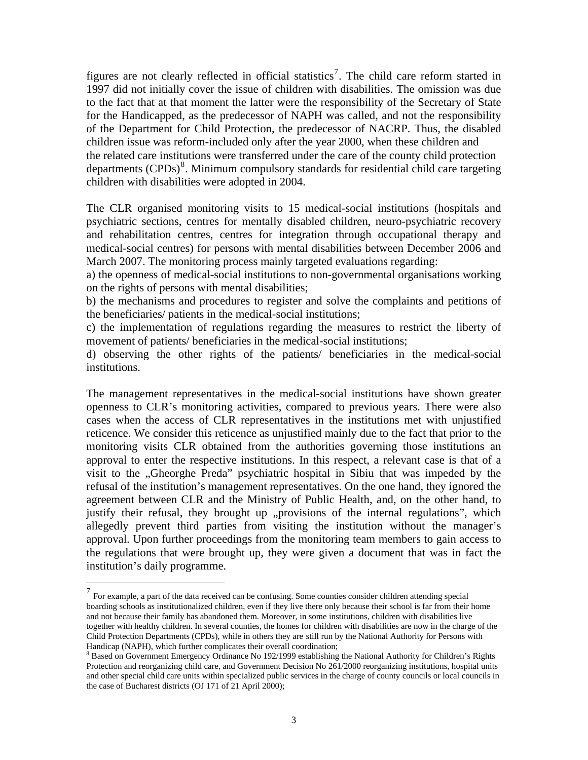figures are not clearly reflected in official statistics<sup>[7](#page-2-0)</sup>. The child care reform started in 1997 did not initially cover the issue of children with disabilities. The omission was due to the fact that at that moment the latter were the responsibility of the Secretary of State for the Handicapped, as the predecessor of NAPH was called, and not the responsibility of the Department for Child Protection, the predecessor of NACRP. Thus, the disabled children issue was reform-included only after the year 2000, when these children and the related care institutions were transferred under the care of the county child protection departments  $(CPDs)^8$  $(CPDs)^8$ . Minimum compulsory standards for residential child care targeting children with disabilities were adopted in 2004.

The CLR organised monitoring visits to 15 medical-social institutions (hospitals and psychiatric sections, centres for mentally disabled children, neuro-psychiatric recovery and rehabilitation centres, centres for integration through occupational therapy and medical-social centres) for persons with mental disabilities between December 2006 and March 2007. The monitoring process mainly targeted evaluations regarding:

a) the openness of medical-social institutions to non-governmental organisations working on the rights of persons with mental disabilities;

b) the mechanisms and procedures to register and solve the complaints and petitions of the beneficiaries/ patients in the medical-social institutions;

c) the implementation of regulations regarding the measures to restrict the liberty of movement of patients/ beneficiaries in the medical-social institutions;

d) observing the other rights of the patients/ beneficiaries in the medical-social institutions.

The management representatives in the medical-social institutions have shown greater openness to CLR's monitoring activities, compared to previous years. There were also cases when the access of CLR representatives in the institutions met with unjustified reticence. We consider this reticence as unjustified mainly due to the fact that prior to the monitoring visits CLR obtained from the authorities governing those institutions an approval to enter the respective institutions. In this respect, a relevant case is that of a visit to the "Gheorghe Preda" psychiatric hospital in Sibiu that was impeded by the refusal of the institution's management representatives. On the one hand, they ignored the agreement between CLR and the Ministry of Public Health, and, on the other hand, to justify their refusal, they brought up "provisions of the internal regulations", which allegedly prevent third parties from visiting the institution without the manager's approval. Upon further proceedings from the monitoring team members to gain access to the regulations that were brought up, they were given a document that was in fact the institution's daily programme.

 $\overline{a}$ 

<span id="page-2-0"></span> $7$  For example, a part of the data received can be confusing. Some counties consider children attending special boarding schools as institutionalized children, even if they live there only because their school is far from their home and not because their family has abandoned them. Moreover, in some institutions, children with disabilities live together with healthy children. In several counties, the homes for children with disabilities are now in the charge of the Child Protection Departments (CPDs), while in others they are still run by the National Authority for Persons with Handicap (NAPH), which further complicates their overall coordination;

<span id="page-2-1"></span><sup>&</sup>lt;sup>8</sup> Based on Government Emergency Ordinance No 192/1999 establishing the National Authority for Children's Rights Protection and reorganizing child care, and Government Decision No 261/2000 reorganizing institutions, hospital units and other special child care units within specialized public services in the charge of county councils or local councils in the case of Bucharest districts (OJ 171 of 21 April 2000);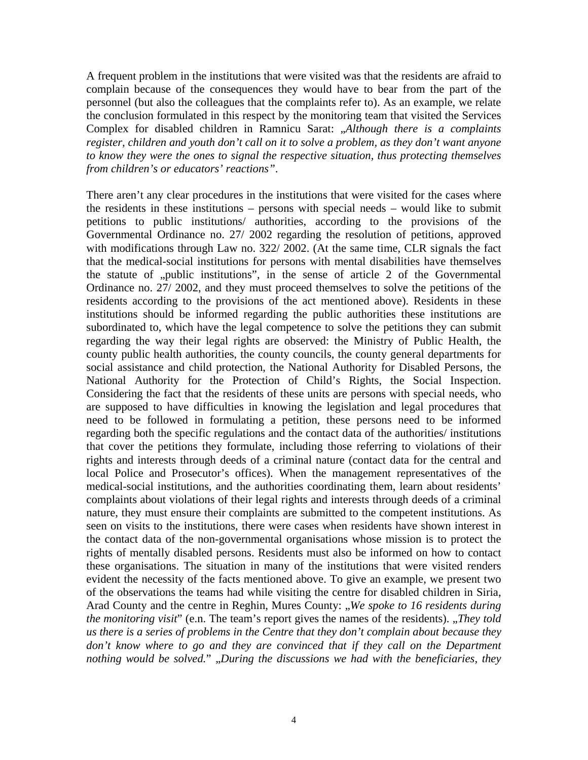A frequent problem in the institutions that were visited was that the residents are afraid to complain because of the consequences they would have to bear from the part of the personnel (but also the colleagues that the complaints refer to). As an example, we relate the conclusion formulated in this respect by the monitoring team that visited the Services Complex for disabled children in Ramnicu Sarat: "*Although there is a complaints register, children and youth don't call on it to solve a problem, as they don't want anyone to know they were the ones to signal the respective situation, thus protecting themselves from children's or educators' reactions"*.

There aren't any clear procedures in the institutions that were visited for the cases where the residents in these institutions – persons with special needs – would like to submit petitions to public institutions/ authorities, according to the provisions of the Governmental Ordinance no. 27/ 2002 regarding the resolution of petitions, approved with modifications through Law no. 322/2002. (At the same time, CLR signals the fact that the medical-social institutions for persons with mental disabilities have themselves the statute of  $n$ , public institutions", in the sense of article 2 of the Governmental Ordinance no. 27/ 2002, and they must proceed themselves to solve the petitions of the residents according to the provisions of the act mentioned above). Residents in these institutions should be informed regarding the public authorities these institutions are subordinated to, which have the legal competence to solve the petitions they can submit regarding the way their legal rights are observed: the Ministry of Public Health, the county public health authorities, the county councils, the county general departments for social assistance and child protection, the National Authority for Disabled Persons, the National Authority for the Protection of Child's Rights, the Social Inspection. Considering the fact that the residents of these units are persons with special needs, who are supposed to have difficulties in knowing the legislation and legal procedures that need to be followed in formulating a petition, these persons need to be informed regarding both the specific regulations and the contact data of the authorities/ institutions that cover the petitions they formulate, including those referring to violations of their rights and interests through deeds of a criminal nature (contact data for the central and local Police and Prosecutor's offices). When the management representatives of the medical-social institutions, and the authorities coordinating them, learn about residents' complaints about violations of their legal rights and interests through deeds of a criminal nature, they must ensure their complaints are submitted to the competent institutions. As seen on visits to the institutions, there were cases when residents have shown interest in the contact data of the non-governmental organisations whose mission is to protect the rights of mentally disabled persons. Residents must also be informed on how to contact these organisations. The situation in many of the institutions that were visited renders evident the necessity of the facts mentioned above. To give an example, we present two of the observations the teams had while visiting the centre for disabled children in Siria, Arad County and the centre in Reghin, Mures County: "We spoke to 16 residents during *the monitoring visit*" (e.n. The team's report gives the names of the residents). "*They told us there is a series of problems in the Centre that they don't complain about because they*  don't know where to go and they are convinced that if they call on the Department *nothing would be solved.*" "*During the discussions we had with the beneficiaries, they*